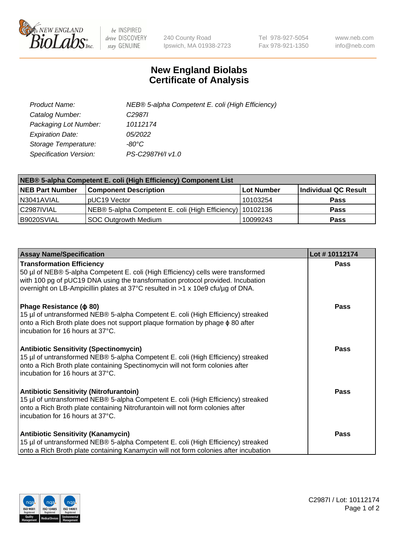

 $be$  INSPIRED drive DISCOVERY stay GENUINE

240 County Road Ipswich, MA 01938-2723 Tel 978-927-5054 Fax 978-921-1350 www.neb.com info@neb.com

## **New England Biolabs Certificate of Analysis**

| Product Name:           | NEB® 5-alpha Competent E. coli (High Efficiency) |
|-------------------------|--------------------------------------------------|
| Catalog Number:         | C <sub>2987</sub>                                |
| Packaging Lot Number:   | 10112174                                         |
| <b>Expiration Date:</b> | 05/2022                                          |
| Storage Temperature:    | -80°C                                            |
| Specification Version:  | PS-C2987H/I v1.0                                 |

| NEB® 5-alpha Competent E. coli (High Efficiency) Component List |                                                             |            |                      |  |
|-----------------------------------------------------------------|-------------------------------------------------------------|------------|----------------------|--|
| <b>NEB Part Number</b>                                          | <b>Component Description</b>                                | Lot Number | Individual QC Result |  |
| N3041AVIAL                                                      | pUC19 Vector                                                | 10103254   | <b>Pass</b>          |  |
| C2987IVIAL                                                      | NEB® 5-alpha Competent E. coli (High Efficiency)   10102136 |            | <b>Pass</b>          |  |
| B9020SVIAL                                                      | SOC Outgrowth Medium                                        | 10099243   | <b>Pass</b>          |  |

| <b>Assay Name/Specification</b>                                                                                                                                                                                                                                                           | Lot #10112174 |
|-------------------------------------------------------------------------------------------------------------------------------------------------------------------------------------------------------------------------------------------------------------------------------------------|---------------|
| <b>Transformation Efficiency</b><br>50 µl of NEB® 5-alpha Competent E. coli (High Efficiency) cells were transformed<br>with 100 pg of pUC19 DNA using the transformation protocol provided. Incubation<br>overnight on LB-Ampicillin plates at 37°C resulted in >1 x 10e9 cfu/µg of DNA. | Pass          |
| Phage Resistance ( $\phi$ 80)<br>15 µl of untransformed NEB® 5-alpha Competent E. coli (High Efficiency) streaked<br>onto a Rich Broth plate does not support plaque formation by phage $\phi$ 80 after<br>incubation for 16 hours at 37°C.                                               | <b>Pass</b>   |
| <b>Antibiotic Sensitivity (Spectinomycin)</b><br>15 µl of untransformed NEB® 5-alpha Competent E. coli (High Efficiency) streaked<br>onto a Rich Broth plate containing Spectinomycin will not form colonies after<br>incubation for 16 hours at 37°C.                                    | <b>Pass</b>   |
| <b>Antibiotic Sensitivity (Nitrofurantoin)</b><br>15 µl of untransformed NEB® 5-alpha Competent E. coli (High Efficiency) streaked<br>onto a Rich Broth plate containing Nitrofurantoin will not form colonies after<br>incubation for 16 hours at 37°C.                                  | Pass          |
| <b>Antibiotic Sensitivity (Kanamycin)</b><br>15 µl of untransformed NEB® 5-alpha Competent E. coli (High Efficiency) streaked<br>onto a Rich Broth plate containing Kanamycin will not form colonies after incubation                                                                     | <b>Pass</b>   |